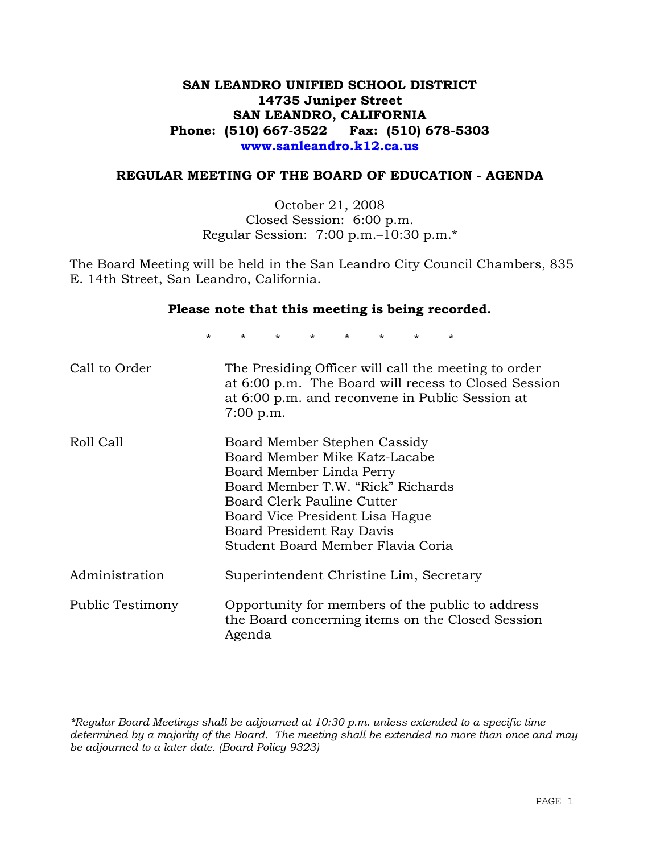## **SAN LEANDRO UNIFIED SCHOOL DISTRICT 14735 Juniper Street SAN LEANDRO, CALIFORNIA Phone: (510) 667-3522 Fax: (510) 678-5303 www.sanleandro.k12.ca.us**

#### **REGULAR MEETING OF THE BOARD OF EDUCATION - AGENDA**

October 21, 2008 Closed Session: 6:00 p.m. Regular Session: 7:00 p.m.–10:30 p.m.\*

The Board Meeting will be held in the San Leandro City Council Chambers, 835 E. 14th Street, San Leandro, California.

#### **Please note that this meeting is being recorded.**

\* \* \* \* \* \* \* \*

| Call to Order    | The Presiding Officer will call the meeting to order<br>at 6:00 p.m. The Board will recess to Closed Session<br>at 6:00 p.m. and reconvene in Public Session at<br>$7:00$ p.m.                                                                                    |
|------------------|-------------------------------------------------------------------------------------------------------------------------------------------------------------------------------------------------------------------------------------------------------------------|
| Roll Call        | Board Member Stephen Cassidy<br>Board Member Mike Katz-Lacabe<br>Board Member Linda Perry<br>Board Member T.W. "Rick" Richards<br>Board Clerk Pauline Cutter<br>Board Vice President Lisa Hague<br>Board President Ray Davis<br>Student Board Member Flavia Coria |
| Administration   | Superintendent Christine Lim, Secretary                                                                                                                                                                                                                           |
| Public Testimony | Opportunity for members of the public to address<br>the Board concerning items on the Closed Session<br>Agenda                                                                                                                                                    |

*\*Regular Board Meetings shall be adjourned at 10:30 p.m. unless extended to a specific time determined by a majority of the Board. The meeting shall be extended no more than once and may be adjourned to a later date. (Board Policy 9323)*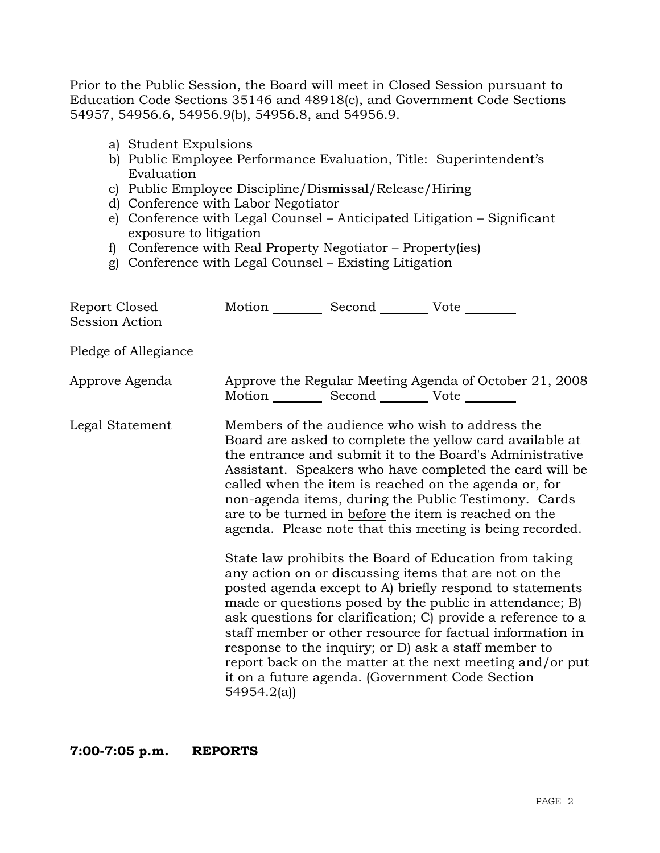Prior to the Public Session, the Board will meet in Closed Session pursuant to Education Code Sections 35146 and 48918(c), and Government Code Sections 54957, 54956.6, 54956.9(b), 54956.8, and 54956.9.

- a) Student Expulsions
- b) Public Employee Performance Evaluation, Title: Superintendent's Evaluation
- c) Public Employee Discipline/Dismissal/Release/Hiring
- d) Conference with Labor Negotiator
- e) Conference with Legal Counsel Anticipated Litigation Significant exposure to litigation
- f) Conference with Real Property Negotiator Property(ies)
- g) Conference with Legal Counsel Existing Litigation

| Report Closed<br>Session Action | Motion __________ Second __________ Vote ________     |                                                                                                                                                                                                                                                                                                                                                                                                                                                                                                                                                                                                                                                                                                                                                                                                                                                                                                                                                                                                                        |
|---------------------------------|-------------------------------------------------------|------------------------------------------------------------------------------------------------------------------------------------------------------------------------------------------------------------------------------------------------------------------------------------------------------------------------------------------------------------------------------------------------------------------------------------------------------------------------------------------------------------------------------------------------------------------------------------------------------------------------------------------------------------------------------------------------------------------------------------------------------------------------------------------------------------------------------------------------------------------------------------------------------------------------------------------------------------------------------------------------------------------------|
| Pledge of Allegiance            |                                                       |                                                                                                                                                                                                                                                                                                                                                                                                                                                                                                                                                                                                                                                                                                                                                                                                                                                                                                                                                                                                                        |
| Approve Agenda                  | Motion ___________ Second ____________ Vote _________ | Approve the Regular Meeting Agenda of October 21, 2008                                                                                                                                                                                                                                                                                                                                                                                                                                                                                                                                                                                                                                                                                                                                                                                                                                                                                                                                                                 |
| Legal Statement                 | 54954.2(a)                                            | Members of the audience who wish to address the<br>Board are asked to complete the yellow card available at<br>the entrance and submit it to the Board's Administrative<br>Assistant. Speakers who have completed the card will be<br>called when the item is reached on the agenda or, for<br>non-agenda items, during the Public Testimony. Cards<br>are to be turned in before the item is reached on the<br>agenda. Please note that this meeting is being recorded.<br>State law prohibits the Board of Education from taking<br>any action on or discussing items that are not on the<br>posted agenda except to A) briefly respond to statements<br>made or questions posed by the public in attendance; B)<br>ask questions for clarification; C) provide a reference to a<br>staff member or other resource for factual information in<br>response to the inquiry; or D) ask a staff member to<br>report back on the matter at the next meeting and/or put<br>it on a future agenda. (Government Code Section |

**7:00-7:05 p.m. REPORTS**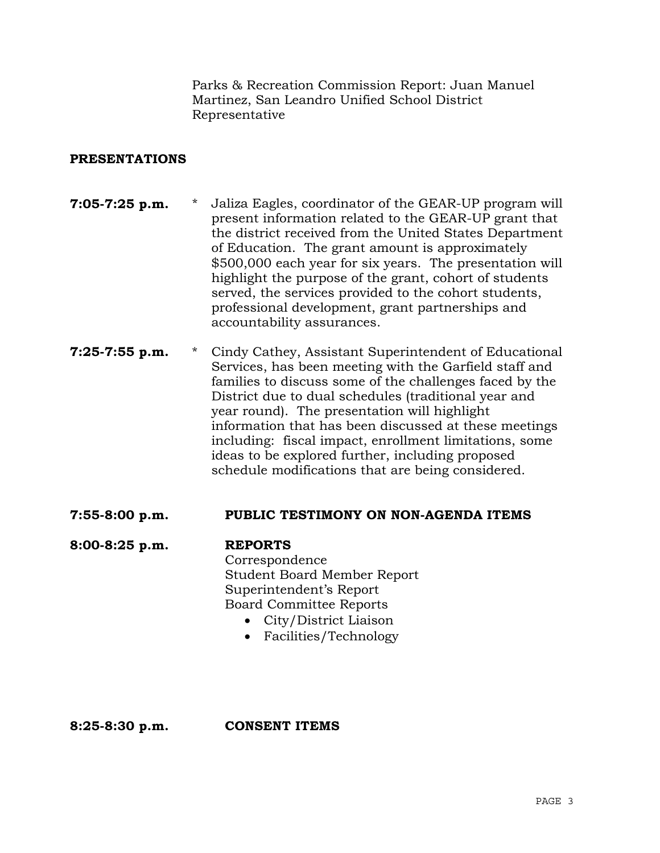Parks & Recreation Commission Report: Juan Manuel Martinez, San Leandro Unified School District Representative

## **PRESENTATIONS**

- **7:05-7:25 p.m.** \* Jaliza Eagles, coordinator of the GEAR-UP program will present information related to the GEAR-UP grant that the district received from the United States Department of Education. The grant amount is approximately \$500,000 each year for six years. The presentation will highlight the purpose of the grant, cohort of students served, the services provided to the cohort students, professional development, grant partnerships and accountability assurances.
- **7:25-7:55 p.m.** \* Cindy Cathey, Assistant Superintendent of Educational Services, has been meeting with the Garfield staff and families to discuss some of the challenges faced by the District due to dual schedules (traditional year and year round). The presentation will highlight information that has been discussed at these meetings including: fiscal impact, enrollment limitations, some ideas to be explored further, including proposed schedule modifications that are being considered.

### **7:55-8:00 p.m. PUBLIC TESTIMONY ON NON-AGENDA ITEMS**

**8:00-8:25 p.m. REPORTS** Correspondence Student Board Member Report Superintendent's Report Board Committee Reports • City/District Liaison

• Facilities/Technology

**8:25-8:30 p.m. CONSENT ITEMS**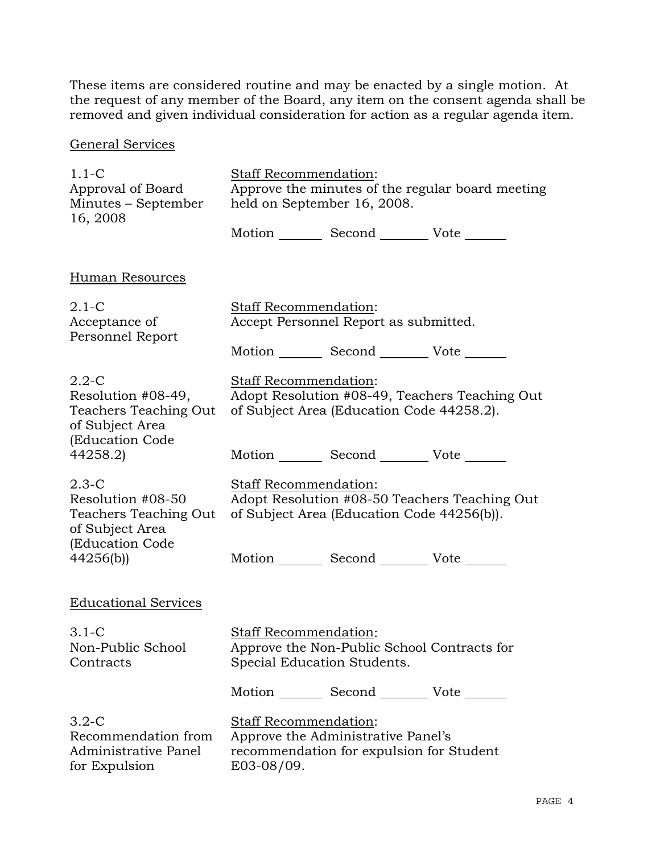These items are considered routine and may be enacted by a single motion. At the request of any member of the Board, any item on the consent agenda shall be removed and given individual consideration for action as a regular agenda item.

# General Services

| $1.1-C$                                                                                        | <b>Staff Recommendation:</b>                                                                                                 |  |  |  |
|------------------------------------------------------------------------------------------------|------------------------------------------------------------------------------------------------------------------------------|--|--|--|
| Approval of Board<br>Minutes – September<br>16, 2008                                           | Approve the minutes of the regular board meeting<br>held on September 16, 2008.                                              |  |  |  |
|                                                                                                | Motion _________ Second __________ Vote _______                                                                              |  |  |  |
| <b>Human Resources</b>                                                                         |                                                                                                                              |  |  |  |
| $2.1 - C$<br>Acceptance of<br>Personnel Report                                                 | <b>Staff Recommendation:</b><br>Accept Personnel Report as submitted.                                                        |  |  |  |
|                                                                                                | Motion _________ Second __________ Vote _______                                                                              |  |  |  |
| $2.2 - C$<br>Resolution #08-49,<br>Teachers Teaching Out<br>of Subject Area<br>(Education Code | Staff Recommendation:<br>Adopt Resolution #08-49, Teachers Teaching Out<br>of Subject Area (Education Code 44258.2).         |  |  |  |
| 44258.2)                                                                                       | Motion _________ Second __________ Vote _______                                                                              |  |  |  |
| $2.3-C$<br>Resolution #08-50<br>Teachers Teaching Out<br>of Subject Area<br>(Education Code    | Staff Recommendation:<br>Adopt Resolution #08-50 Teachers Teaching Out<br>of Subject Area (Education Code 44256(b)).         |  |  |  |
| 44256(b)                                                                                       | Motion _________ Second __________ Vote _______                                                                              |  |  |  |
| <b>Educational Services</b>                                                                    |                                                                                                                              |  |  |  |
| $3.1 - C$<br>Non-Public School<br>Contracts                                                    | <b>Staff Recommendation:</b><br>Approve the Non-Public School Contracts for<br>Special Education Students.                   |  |  |  |
|                                                                                                | Motion _________ Second __________ Vote _______                                                                              |  |  |  |
| $3.2 - C$<br>Recommendation from<br>Administrative Panel<br>for Expulsion                      | <b>Staff Recommendation:</b><br>Approve the Administrative Panel's<br>recommendation for expulsion for Student<br>E03-08/09. |  |  |  |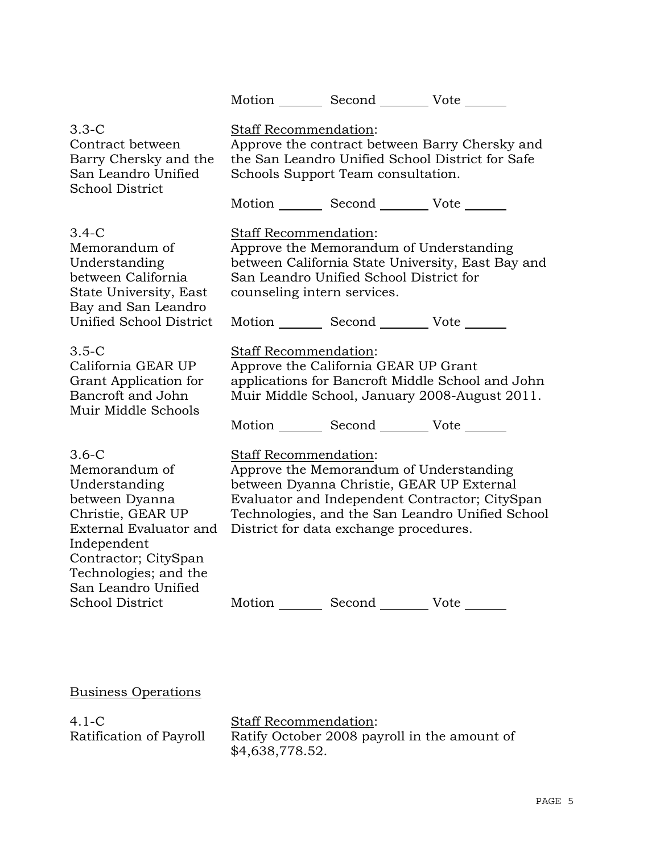Motion Second Vote \_\_\_\_\_\_

| $3.3 - C$                                                                                                                                                                                                                     | Staff Recommendation:                                |                                                                                                                                                      |                                                                                                    |
|-------------------------------------------------------------------------------------------------------------------------------------------------------------------------------------------------------------------------------|------------------------------------------------------|------------------------------------------------------------------------------------------------------------------------------------------------------|----------------------------------------------------------------------------------------------------|
| Contract between                                                                                                                                                                                                              | Approve the contract between Barry Chersky and       |                                                                                                                                                      |                                                                                                    |
| Barry Chersky and the                                                                                                                                                                                                         | the San Leandro Unified School District for Safe     |                                                                                                                                                      |                                                                                                    |
| San Leandro Unified                                                                                                                                                                                                           | Schools Support Team consultation.                   |                                                                                                                                                      |                                                                                                    |
| <b>School District</b>                                                                                                                                                                                                        | Motion Second Vote                                   |                                                                                                                                                      |                                                                                                    |
| $3.4-C$<br>Memorandum of<br>Understanding<br>between California<br>State University, East<br>Bay and San Leandro<br><b>Unified School District</b>                                                                            | Staff Recommendation:<br>counseling intern services. | Approve the Memorandum of Understanding<br>San Leandro Unified School District for<br>Motion _________ Second __________ Vote _______                | between California State University, East Bay and                                                  |
| $3.5 - C$                                                                                                                                                                                                                     | Staff Recommendation:                                |                                                                                                                                                      |                                                                                                    |
| California GEAR UP                                                                                                                                                                                                            | Approve the California GEAR UP Grant                 |                                                                                                                                                      |                                                                                                    |
| Grant Application for                                                                                                                                                                                                         | applications for Bancroft Middle School and John     |                                                                                                                                                      |                                                                                                    |
| Bancroft and John                                                                                                                                                                                                             | Muir Middle School, January 2008-August 2011.        |                                                                                                                                                      |                                                                                                    |
| Muir Middle Schools                                                                                                                                                                                                           | Motion _________ Second __________ Vote _______      |                                                                                                                                                      |                                                                                                    |
| $3.6 - C$<br>Memorandum of<br>Understanding<br>between Dyanna<br>Christie, GEAR UP<br>External Evaluator and<br>Independent<br>Contractor; CitySpan<br>Technologies; and the<br>San Leandro Unified<br><b>School District</b> | Staff Recommendation:                                | Approve the Memorandum of Understanding<br>between Dyanna Christie, GEAR UP External<br>District for data exchange procedures.<br>Motion Second Vote | Evaluator and Independent Contractor; CitySpan<br>Technologies, and the San Leandro Unified School |

Business Operations

4.1-C Ratification of Payroll Staff Recommendation: Ratify October 2008 payroll in the amount of \$4,638,778.52.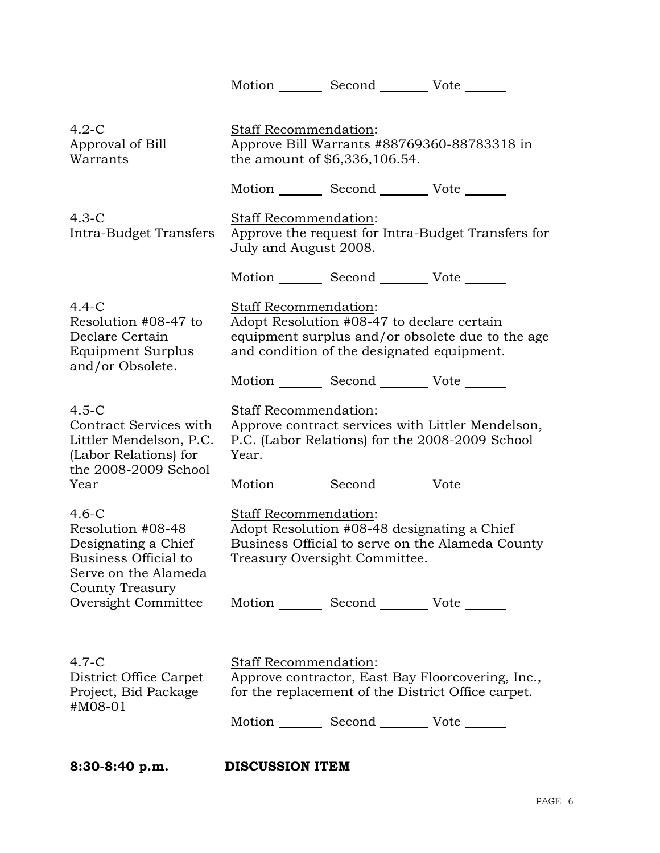|                                                                                                               |                                                                                                                                                                              | Motion _________ Second __________ Vote _______ |                                                                                                         |  |
|---------------------------------------------------------------------------------------------------------------|------------------------------------------------------------------------------------------------------------------------------------------------------------------------------|-------------------------------------------------|---------------------------------------------------------------------------------------------------------|--|
|                                                                                                               |                                                                                                                                                                              |                                                 |                                                                                                         |  |
| $4.2-C$<br>Approval of Bill<br>Warrants                                                                       | Staff Recommendation:<br>Approve Bill Warrants #88769360-88783318 in<br>the amount of \$6,336,106.54.                                                                        |                                                 |                                                                                                         |  |
|                                                                                                               |                                                                                                                                                                              | Motion _________ Second _________ Vote _______  |                                                                                                         |  |
| $4.3-C$<br>Intra-Budget Transfers                                                                             | Staff Recommendation:<br>Approve the request for Intra-Budget Transfers for<br>July and August 2008.                                                                         |                                                 |                                                                                                         |  |
|                                                                                                               |                                                                                                                                                                              | Motion _________ Second __________ Vote _______ |                                                                                                         |  |
| $4.4-C$<br>Resolution #08-47 to<br>Declare Certain<br>Equipment Surplus<br>and/or Obsolete.                   | <b>Staff Recommendation:</b><br>Adopt Resolution #08-47 to declare certain<br>equipment surplus and/or obsolete due to the age<br>and condition of the designated equipment. |                                                 |                                                                                                         |  |
|                                                                                                               |                                                                                                                                                                              | Motion _________ Second __________ Vote _______ |                                                                                                         |  |
| $4.5-C$<br>Contract Services with<br>Littler Mendelson, P.C.<br>(Labor Relations) for<br>the 2008-2009 School | Staff Recommendation:<br>Approve contract services with Littler Mendelson,<br>P.C. (Labor Relations) for the 2008-2009 School<br>Year.                                       |                                                 |                                                                                                         |  |
| Year                                                                                                          |                                                                                                                                                                              | Motion _________ Second _________ Vote _______  |                                                                                                         |  |
| $4.6-C$<br>Resolution #08-48<br>Designating a Chief<br>Business Official to<br>Serve on the Alameda           | <b>Staff Recommendation:</b><br>Adopt Resolution #08-48 designating a Chief<br>Business Official to serve on the Alameda County<br>Treasury Oversight Committee.             |                                                 |                                                                                                         |  |
| <b>County Treasury</b><br>Oversight Committee                                                                 |                                                                                                                                                                              | Motion _________ Second __________ Vote _______ |                                                                                                         |  |
| $4.7-C$<br>District Office Carpet<br>Project, Bid Package<br>#M08-01                                          | Staff Recommendation:                                                                                                                                                        | Motion _________ Second __________ Vote _______ | Approve contractor, East Bay Floorcovering, Inc.,<br>for the replacement of the District Office carpet. |  |
|                                                                                                               |                                                                                                                                                                              |                                                 |                                                                                                         |  |

**8:30-8:40 p.m. DISCUSSION ITEM**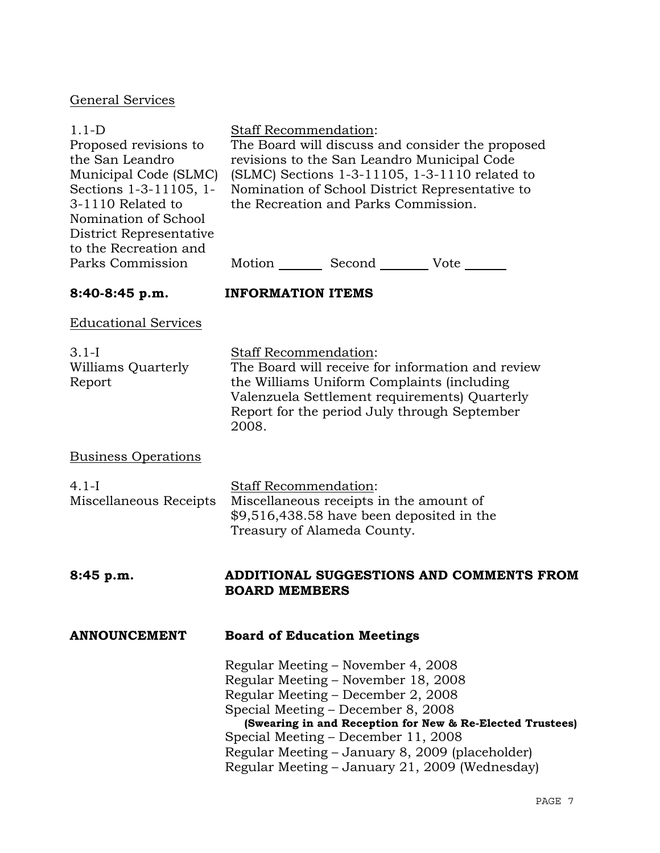# General Services

| $1.1-D$<br>Proposed revisions to<br>the San Leandro<br>Municipal Code (SLMC)<br>Sections 1-3-11105, 1-<br>3-1110 Related to<br>Nomination of School<br>District Representative<br>to the Recreation and | Staff Recommendation:<br>The Board will discuss and consider the proposed<br>revisions to the San Leandro Municipal Code<br>(SLMC) Sections 1-3-11105, 1-3-1110 related to<br>Nomination of School District Representative to<br>the Recreation and Parks Commission. |                                                                                                                                                                                              |                                                                                                                                                                |  |
|---------------------------------------------------------------------------------------------------------------------------------------------------------------------------------------------------------|-----------------------------------------------------------------------------------------------------------------------------------------------------------------------------------------------------------------------------------------------------------------------|----------------------------------------------------------------------------------------------------------------------------------------------------------------------------------------------|----------------------------------------------------------------------------------------------------------------------------------------------------------------|--|
| Parks Commission                                                                                                                                                                                        |                                                                                                                                                                                                                                                                       |                                                                                                                                                                                              | Motion _________ Second __________ Vote _______                                                                                                                |  |
| $8:40-8:45 p.m.$                                                                                                                                                                                        | <b>INFORMATION ITEMS</b>                                                                                                                                                                                                                                              |                                                                                                                                                                                              |                                                                                                                                                                |  |
| <b>Educational Services</b>                                                                                                                                                                             |                                                                                                                                                                                                                                                                       |                                                                                                                                                                                              |                                                                                                                                                                |  |
| $3.1-I$<br>Williams Quarterly<br>Report                                                                                                                                                                 | Staff Recommendation:<br>The Board will receive for information and review<br>the Williams Uniform Complaints (including<br>Valenzuela Settlement requirements) Quarterly<br>Report for the period July through September<br>2008.                                    |                                                                                                                                                                                              |                                                                                                                                                                |  |
| <b>Business Operations</b>                                                                                                                                                                              |                                                                                                                                                                                                                                                                       |                                                                                                                                                                                              |                                                                                                                                                                |  |
| $4.1-I$<br>Miscellaneous Receipts                                                                                                                                                                       | Staff Recommendation:<br>Miscellaneous receipts in the amount of<br>\$9,516,438.58 have been deposited in the<br>Treasury of Alameda County.                                                                                                                          |                                                                                                                                                                                              |                                                                                                                                                                |  |
| 8:45 p.m.                                                                                                                                                                                               | <b>BOARD MEMBERS</b>                                                                                                                                                                                                                                                  |                                                                                                                                                                                              | ADDITIONAL SUGGESTIONS AND COMMENTS FROM                                                                                                                       |  |
| <b>ANNOUNCEMENT</b>                                                                                                                                                                                     |                                                                                                                                                                                                                                                                       | <b>Board of Education Meetings</b>                                                                                                                                                           |                                                                                                                                                                |  |
|                                                                                                                                                                                                         |                                                                                                                                                                                                                                                                       | Regular Meeting – November 4, 2008<br>Regular Meeting - November 18, 2008<br>Regular Meeting - December 2, 2008<br>Special Meeting – December 8, 2008<br>Special Meeting – December 11, 2008 | (Swearing in and Reception for New & Re-Elected Trustees)<br>Regular Meeting - January 8, 2009 (placeholder)<br>Regular Meeting – January 21, 2009 (Wednesday) |  |